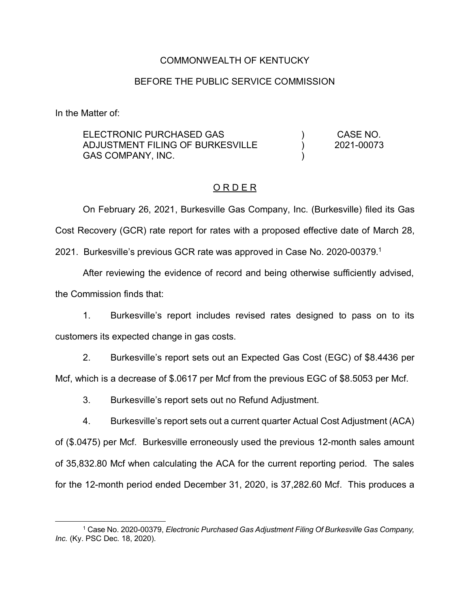## COMMONWEALTH OF KENTUCKY

### BEFORE THE PUBLIC SERVICE COMMISSION

In the Matter of:

| ELECTRONIC PURCHASED GAS         | CASE NO.   |
|----------------------------------|------------|
| ADJUSTMENT FILING OF BURKESVILLE | 2021-00073 |
| GAS COMPANY, INC.                |            |

#### O R D E R

On February 26, 2021, Burkesville Gas Company, Inc. (Burkesville) filed its Gas Cost Recovery (GCR) rate report for rates with a proposed effective date of March 28,

2021. Burkesville's previous GCR rate was approved in Case No. 2020-00379. 1

After reviewing the evidence of record and being otherwise sufficiently advised, the Commission finds that:

1. Burkesville's report includes revised rates designed to pass on to its customers its expected change in gas costs.

2. Burkesville's report sets out an Expected Gas Cost (EGC) of \$8.4436 per Mcf, which is a decrease of \$.0617 per Mcf from the previous EGC of \$8.5053 per Mcf.

3. Burkesville's report sets out no Refund Adjustment.

4. Burkesville's report sets out a current quarter Actual Cost Adjustment (ACA) of (\$.0475) per Mcf. Burkesville erroneously used the previous 12-month sales amount of 35,832.80 Mcf when calculating the ACA for the current reporting period. The sales for the 12-month period ended December 31, 2020, is 37,282.60 Mcf. This produces a

 <sup>1</sup> Case No. 2020-00379, *Electronic Purchased Gas Adjustment Filing Of Burkesville Gas Company, Inc.* (Ky. PSC Dec. 18, 2020).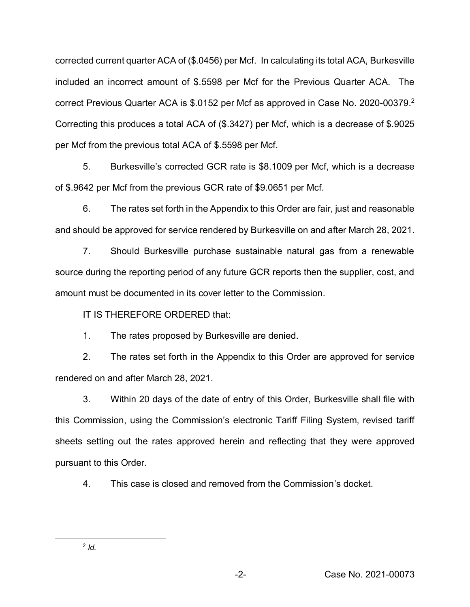corrected current quarter ACA of (\$.0456) per Mcf. In calculating its total ACA, Burkesville included an incorrect amount of \$.5598 per Mcf for the Previous Quarter ACA. The correct Previous Quarter ACA is \$.0152 per Mcf as approved in Case No. 2020-00379. 2 Correcting this produces a total ACA of (\$.3427) per Mcf, which is a decrease of \$.9025 per Mcf from the previous total ACA of \$.5598 per Mcf.

5. Burkesville's corrected GCR rate is \$8.1009 per Mcf, which is a decrease of \$.9642 per Mcf from the previous GCR rate of \$9.0651 per Mcf.

6. The rates set forth in the Appendix to this Order are fair, just and reasonable and should be approved for service rendered by Burkesville on and after March 28, 2021.

7. Should Burkesville purchase sustainable natural gas from a renewable source during the reporting period of any future GCR reports then the supplier, cost, and amount must be documented in its cover letter to the Commission.

IT IS THEREFORE ORDERED that:

1. The rates proposed by Burkesville are denied.

2. The rates set forth in the Appendix to this Order are approved for service rendered on and after March 28, 2021.

3. Within 20 days of the date of entry of this Order, Burkesville shall file with this Commission, using the Commission's electronic Tariff Filing System, revised tariff sheets setting out the rates approved herein and reflecting that they were approved pursuant to this Order.

4. This case is closed and removed from the Commission's docket.

2 *Id.*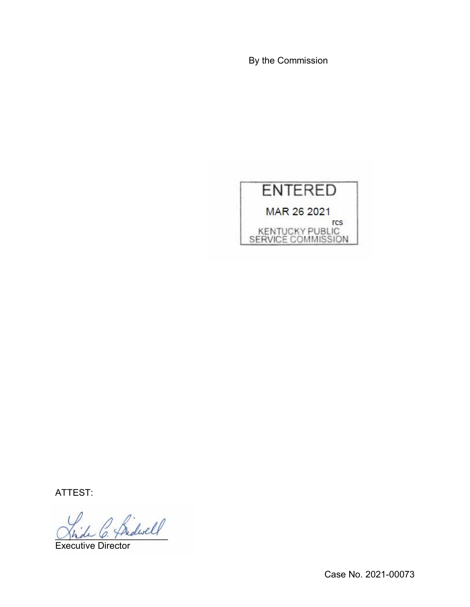By the Commission



ATTEST:

 $\beta$ hidwell

Executive Director

Case No. 2021-00073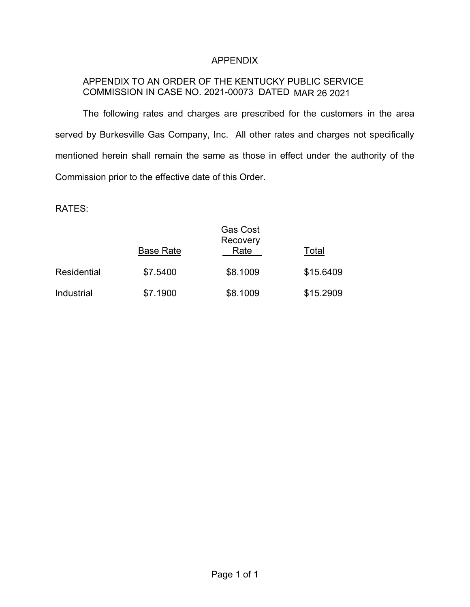## APPENDIX

# APPENDIX TO AN ORDER OF THE KENTUCKY PUBLIC SERVICE COMMISSION IN CASE NO. 2021-00073 DATED MAR 26 2021

The following rates and charges are prescribed for the customers in the area served by Burkesville Gas Company, Inc. All other rates and charges not specifically mentioned herein shall remain the same as those in effect under the authority of the Commission prior to the effective date of this Order.

RATES:

|             | <b>Base Rate</b> | <b>Gas Cost</b><br>Recovery<br>Rate | Total     |
|-------------|------------------|-------------------------------------|-----------|
| Residential | \$7.5400         | \$8.1009                            | \$15.6409 |
| Industrial  | \$7.1900         | \$8.1009                            | \$15.2909 |